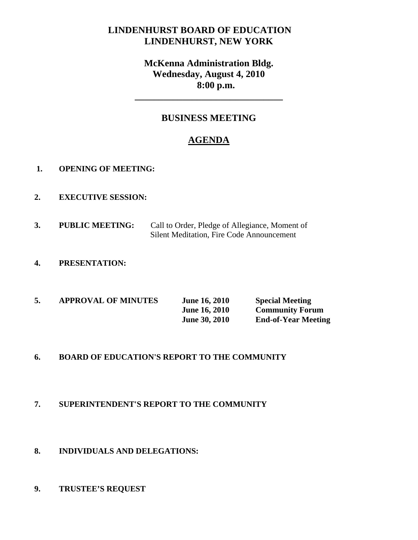# **LINDENHURST BOARD OF EDUCATION LINDENHURST, NEW YORK**

# **McKenna Administration Bldg. Wednesday, August 4, 2010 8:00 p.m.**

# **BUSINESS MEETING**

**\_\_\_\_\_\_\_\_\_\_\_\_\_\_\_\_\_\_\_\_\_\_\_\_\_\_\_\_\_\_\_** 

# **AGENDA**

- **1. OPENING OF MEETING:**
- **2. EXECUTIVE SESSION:**
- **3. PUBLIC MEETING:** Call to Order, Pledge of Allegiance, Moment of Silent Meditation, Fire Code Announcement
- **4. PRESENTATION:**
- **5. APPROVAL OF MINUTES June 16, 2010 Special Meeting June 16, 2010 Community Forum June 30, 2010 End-of-Year Meeting**

## **6. BOARD OF EDUCATION'S REPORT TO THE COMMUNITY**

## **7. SUPERINTENDENT'S REPORT TO THE COMMUNITY**

## **8. INDIVIDUALS AND DELEGATIONS:**

#### **9. TRUSTEE'S REQUEST**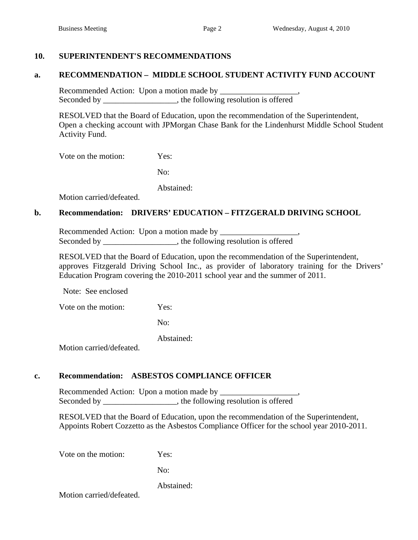#### **10. SUPERINTENDENT'S RECOMMENDATIONS**

#### **a. RECOMMENDATION – MIDDLE SCHOOL STUDENT ACTIVITY FUND ACCOUNT**

 Recommended Action: Upon a motion made by \_\_\_\_\_\_\_\_\_\_\_\_\_\_\_\_\_\_\_, Seconded by \_\_\_\_\_\_\_\_\_\_\_\_\_\_\_\_, the following resolution is offered

RESOLVED that the Board of Education, upon the recommendation of the Superintendent, Open a checking account with JPMorgan Chase Bank for the Lindenhurst Middle School Student Activity Fund.

Vote on the motion: Yes:

No:

Abstained:

Motion carried/defeated.

#### **b. Recommendation: DRIVERS' EDUCATION – FITZGERALD DRIVING SCHOOL**

 Recommended Action: Upon a motion made by \_\_\_\_\_\_\_\_\_\_\_\_\_\_\_\_\_\_\_, Seconded by \_\_\_\_\_\_\_\_\_\_\_\_\_\_\_, the following resolution is offered

RESOLVED that the Board of Education, upon the recommendation of the Superintendent, approves Fitzgerald Driving School Inc., as provider of laboratory training for the Drivers' Education Program covering the 2010-2011 school year and the summer of 2011.

Note: See enclosed

Vote on the motion: Yes:

No:

Abstained:

Motion carried/defeated.

#### **c. Recommendation: ASBESTOS COMPLIANCE OFFICER**

Recommended Action: Upon a motion made by Seconded by \_\_\_\_\_\_\_\_\_\_\_\_\_\_\_, the following resolution is offered

RESOLVED that the Board of Education, upon the recommendation of the Superintendent, Appoints Robert Cozzetto as the Asbestos Compliance Officer for the school year 2010-2011.

Vote on the motion: Yes:

No:

Abstained:

Motion carried/defeated.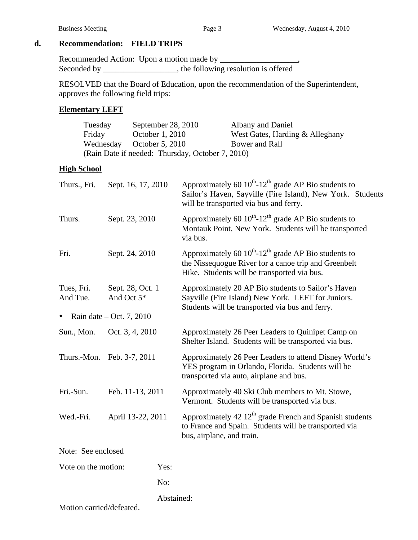# **d. Recommendation: FIELD TRIPS**

 Recommended Action: Upon a motion made by \_\_\_\_\_\_\_\_\_\_\_\_\_\_\_\_\_\_\_, Seconded by \_\_\_\_\_\_\_\_\_\_\_\_, the following resolution is offered  $\overline{\phantom{a}}$ ,

RESOLVED that the Board of Education, upon the recommendation of the Superintendent, approves the following field trips:

### **Elementary LEFT**

| Tuesday | September 28, $2010$                             | Albany and Daniel               |
|---------|--------------------------------------------------|---------------------------------|
| Friday  | October 1, 2010                                  | West Gates, Harding & Alleghany |
|         | Wednesday October 5, 2010                        | Bower and Rall                  |
|         | (Rain Date if needed: Thursday, October 7, 2010) |                                 |

#### **High School**

| Thurs., Fri.             | Sept. 16, 17, 2010             |            | Approximately 60 $10^{th}$ -12 <sup>th</sup> grade AP Bio students to<br>Sailor's Haven, Sayville (Fire Island), New York. Students<br>will be transported via bus and ferry. |  |  |
|--------------------------|--------------------------------|------------|-------------------------------------------------------------------------------------------------------------------------------------------------------------------------------|--|--|
| Thurs.                   | Sept. 23, 2010                 |            | Approximately 60 $10^{th}$ -12 <sup>th</sup> grade AP Bio students to<br>Montauk Point, New York. Students will be transported<br>via bus.                                    |  |  |
| Fri.                     | Sept. 24, 2010                 |            | Approximately 60 $10^{th}$ -12 <sup>th</sup> grade AP Bio students to<br>the Nissequogue River for a canoe trip and Greenbelt<br>Hike. Students will be transported via bus.  |  |  |
| Tues, Fri.<br>And Tue.   | Sept. 28, Oct. 1<br>And Oct 5* |            | Approximately 20 AP Bio students to Sailor's Haven<br>Sayville (Fire Island) New York. LEFT for Juniors.<br>Students will be transported via bus and ferry.                   |  |  |
| $\bullet$                | Rain date $-$ Oct. 7, 2010     |            |                                                                                                                                                                               |  |  |
| Sun., Mon.               | Oct. 3, 4, 2010                |            | Approximately 26 Peer Leaders to Quinipet Camp on<br>Shelter Island. Students will be transported via bus.                                                                    |  |  |
|                          | Thurs.-Mon. Feb. 3-7, 2011     |            | Approximately 26 Peer Leaders to attend Disney World's<br>YES program in Orlando, Florida. Students will be<br>transported via auto, airplane and bus.                        |  |  |
| Fri.-Sun.                | Feb. 11-13, 2011               |            | Approximately 40 Ski Club members to Mt. Stowe,<br>Vermont. Students will be transported via bus.                                                                             |  |  |
| Wed.-Fri.                | April 13-22, 2011              |            | Approximately 42 $12th$ grade French and Spanish students<br>to France and Spain. Students will be transported via<br>bus, airplane, and train.                               |  |  |
| Note: See enclosed       |                                |            |                                                                                                                                                                               |  |  |
| Vote on the motion:      |                                | Yes:       |                                                                                                                                                                               |  |  |
|                          |                                | No:        |                                                                                                                                                                               |  |  |
|                          |                                |            |                                                                                                                                                                               |  |  |
| Motion carried/defeated. |                                | Abstained: |                                                                                                                                                                               |  |  |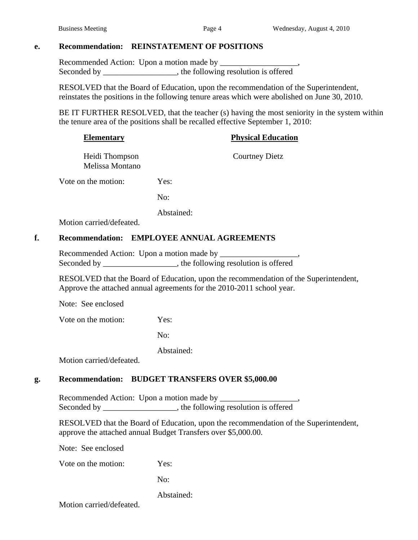#### **e. Recommendation: REINSTATEMENT OF POSITIONS**

 Recommended Action: Upon a motion made by \_\_\_\_\_\_\_\_\_\_\_\_\_\_\_\_\_\_\_, Seconded by \_\_\_\_\_\_\_\_\_\_\_\_\_\_\_\_, the following resolution is offered

RESOLVED that the Board of Education, upon the recommendation of the Superintendent, reinstates the positions in the following tenure areas which were abolished on June 30, 2010.

BE IT FURTHER RESOLVED, that the teacher (s) having the most seniority in the system within the tenure area of the positions shall be recalled effective September 1, 2010:

#### *Elementary* Physical Education

 Heidi Thompson Courtney Dietz Melissa Montano

Vote on the motion: Yes:

No:

Abstained:

Motion carried/defeated.

#### **f. Recommendation: EMPLOYEE ANNUAL AGREEMENTS**

 Recommended Action: Upon a motion made by \_\_\_\_\_\_\_\_\_\_\_\_\_\_\_\_\_\_\_, Seconded by \_\_\_\_\_\_\_\_\_\_\_\_\_\_\_, the following resolution is offered

RESOLVED that the Board of Education, upon the recommendation of the Superintendent, Approve the attached annual agreements for the 2010-2011 school year.

Note: See enclosed

Vote on the motion: Yes:

No:

Abstained:

Motion carried/defeated.

#### **g. Recommendation: BUDGET TRANSFERS OVER \$5,000.00**

Recommended Action: Upon a motion made by Seconded by \_\_\_\_\_\_\_\_\_\_\_\_\_\_\_\_\_, the following resolution is offered

RESOLVED that the Board of Education, upon the recommendation of the Superintendent, approve the attached annual Budget Transfers over \$5,000.00.

Note: See enclosed

Vote on the motion: Yes:

No:

Abstained:

Motion carried/defeated.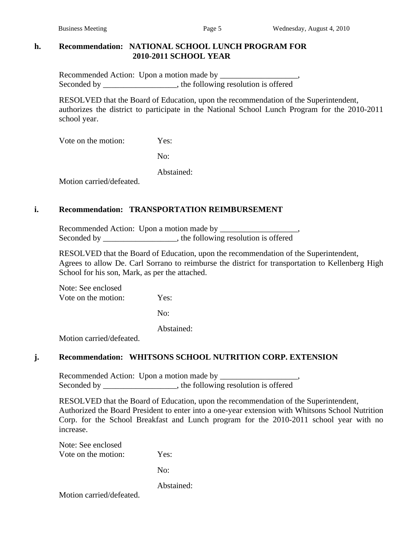## **h. Recommendation: NATIONAL SCHOOL LUNCH PROGRAM FOR 2010-2011 SCHOOL YEAR**

 Recommended Action: Upon a motion made by \_\_\_\_\_\_\_\_\_\_\_\_\_\_\_\_\_\_\_, Seconded by \_\_\_\_\_\_\_\_\_\_\_\_\_\_\_\_, the following resolution is offered

RESOLVED that the Board of Education, upon the recommendation of the Superintendent, authorizes the district to participate in the National School Lunch Program for the 2010-2011 school year.

Vote on the motion: Yes:

No:

Abstained:

Motion carried/defeated.

### **i. Recommendation: TRANSPORTATION REIMBURSEMENT**

 Recommended Action: Upon a motion made by \_\_\_\_\_\_\_\_\_\_\_\_\_\_\_\_\_\_\_, Seconded by \_\_\_\_\_\_\_\_\_\_\_\_\_\_\_, the following resolution is offered

RESOLVED that the Board of Education, upon the recommendation of the Superintendent, Agrees to allow De. Carl Sorrano to reimburse the district for transportation to Kellenberg High School for his son, Mark, as per the attached.

 Note: See enclosed Vote on the motion: Yes:

No:

Abstained:

Motion carried/defeated.

#### **j. Recommendation: WHITSONS SCHOOL NUTRITION CORP. EXTENSION**

Recommended Action: Upon a motion made by Seconded by \_\_\_\_\_\_\_\_\_\_\_\_\_\_\_\_\_, the following resolution is offered

RESOLVED that the Board of Education, upon the recommendation of the Superintendent, Authorized the Board President to enter into a one-year extension with Whitsons School Nutrition Corp. for the School Breakfast and Lunch program for the 2010-2011 school year with no increase.

 Note: See enclosed Vote on the motion: Yes:

No:

Abstained:

Motion carried/defeated.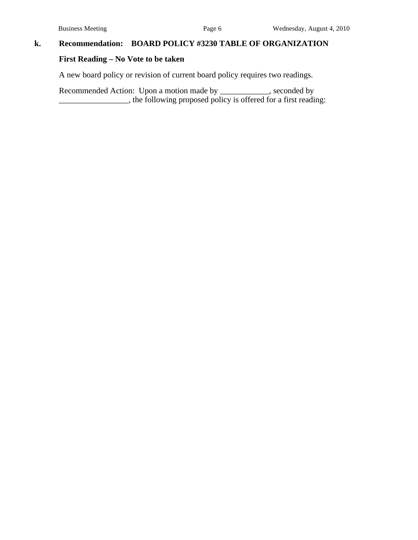# **k. Recommendation: BOARD POLICY #3230 TABLE OF ORGANIZATION**

## **First Reading – No Vote to be taken**

A new board policy or revision of current board policy requires two readings.

 Recommended Action: Upon a motion made by \_\_\_\_\_\_\_\_\_\_\_\_, seconded by the following proposed policy is offered for a first reading: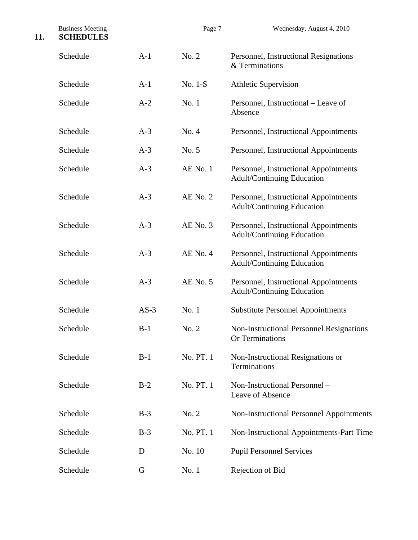**11. SCHEDULES** 

| Schedule | $A-1$  | No. 2     | Personnel, Instructional Resignations<br>& Terminations                    |
|----------|--------|-----------|----------------------------------------------------------------------------|
| Schedule | $A-1$  | $No. 1-S$ | <b>Athletic Supervision</b>                                                |
| Schedule | $A-2$  | No.1      | Personnel, Instructional – Leave of<br>Absence                             |
| Schedule | $A-3$  | No. 4     | Personnel, Instructional Appointments                                      |
| Schedule | $A-3$  | No. 5     | Personnel, Instructional Appointments                                      |
| Schedule | $A-3$  | AE No. 1  | Personnel, Instructional Appointments<br><b>Adult/Continuing Education</b> |
| Schedule | $A-3$  | AE No. 2  | Personnel, Instructional Appointments<br><b>Adult/Continuing Education</b> |
| Schedule | $A-3$  | AE No. 3  | Personnel, Instructional Appointments<br><b>Adult/Continuing Education</b> |
| Schedule | $A-3$  | AE No. 4  | Personnel, Instructional Appointments<br><b>Adult/Continuing Education</b> |
| Schedule | $A-3$  | AE No. 5  | Personnel, Instructional Appointments<br><b>Adult/Continuing Education</b> |
| Schedule | $AS-3$ | No. 1     | <b>Substitute Personnel Appointments</b>                                   |
| Schedule | $B-1$  | No. 2     | <b>Non-Instructional Personnel Resignations</b><br>Or Terminations         |
| Schedule | $B-1$  | No. PT. 1 | Non-Instructional Resignations or<br>Terminations                          |
| Schedule | $B-2$  | No. PT. 1 | Non-Instructional Personnel -<br>Leave of Absence                          |
| Schedule | $B-3$  | No. 2     | Non-Instructional Personnel Appointments                                   |
| Schedule | $B-3$  | No. PT. 1 | Non-Instructional Appointments-Part Time                                   |
| Schedule | D      | No. 10    | <b>Pupil Personnel Services</b>                                            |
| Schedule | G      | No. 1     | Rejection of Bid                                                           |